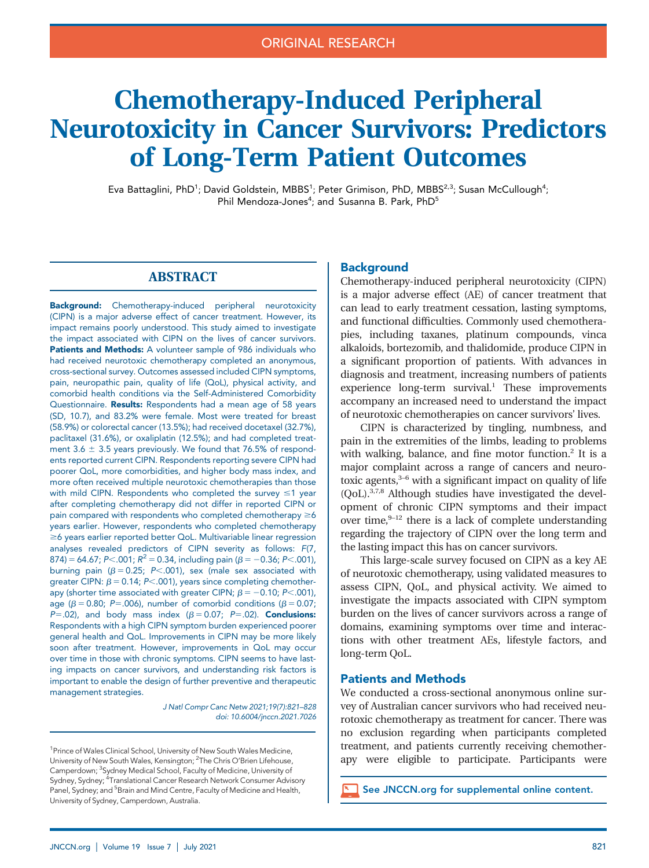# Chemotherapy-Induced Peripheral Neurotoxicity in Cancer Survivors: Predictors of Long-Term Patient Outcomes

Eva Battaglini, PhD<sup>1</sup>; David Goldstein, MBBS<sup>1</sup>; Peter Grimison, PhD, MBBS<sup>2,3</sup>; Susan McCullough<sup>4</sup>; Phil Mendoza-Jones<sup>4</sup>; and Susanna B. Park, PhD<sup>5</sup>

# ABSTRACT

Background: Chemotherapy-induced peripheral neurotoxicity (CIPN) is a major adverse effect of cancer treatment. However, its impact remains poorly understood. This study aimed to investigate the impact associated with CIPN on the lives of cancer survivors. Patients and Methods: A volunteer sample of 986 individuals who had received neurotoxic chemotherapy completed an anonymous, cross-sectional survey. Outcomes assessed included CIPN symptoms, pain, neuropathic pain, quality of life (QoL), physical activity, and comorbid health conditions via the Self-Administered Comorbidity Questionnaire. Results: Respondents had a mean age of 58 years (SD, 10.7), and 83.2% were female. Most were treated for breast (58.9%) or colorectal cancer (13.5%); had received docetaxel (32.7%), paclitaxel (31.6%), or oxaliplatin (12.5%); and had completed treatment 3.6  $\pm$  3.5 years previously. We found that 76.5% of respondents reported current CIPN. Respondents reporting severe CIPN had poorer QoL, more comorbidities, and higher body mass index, and more often received multiple neurotoxic chemotherapies than those with mild CIPN. Respondents who completed the survey  $\leq 1$  year after completing chemotherapy did not differ in reported CIPN or pain compared with respondents who completed chemotherapy  $\geq 6$ years earlier. However, respondents who completed chemotherapy  $\geq$ 6 years earlier reported better QoL. Multivariable linear regression analyses revealed predictors of CIPN severity as follows: F(7, 874) = 64.67; P<.001;  $R^2$  = 0.34, including pain ( $\beta$  = -0.36; P<.001), burning pain ( $\beta = 0.25$ ; P<.001), sex (male sex associated with greater CIPN:  $\beta$  = 0.14; P<.001), years since completing chemotherapy (shorter time associated with greater CIPN;  $\beta = -0.10$ ; P<.001), age ( $\beta$  = 0.80; P=.006), number of comorbid conditions ( $\beta$  = 0.07;  $P=.02$ ), and body mass index ( $\beta = 0.07$ ;  $P=.02$ ). **Conclusions:** Respondents with a high CIPN symptom burden experienced poorer general health and QoL. Improvements in CIPN may be more likely soon after treatment. However, improvements in QoL may occur over time in those with chronic symptoms. CIPN seems to have lasting impacts on cancer survivors, and understanding risk factors is important to enable the design of further preventive and therapeutic management strategies.

> J Natl Compr Canc Netw 2021;19(7):821–828 doi: [10.6004/jnccn.2021.7026](https://doi.org/10.6004/jnccn.2021.7026)

<sup>1</sup> Prince of Wales Clinical School, University of New South Wales Medicine, University of New South Wales, Kensington; <sup>2</sup>The Chris O'Brien Lifehouse, Camperdown; <sup>3</sup>Sydney Medical School, Faculty of Medicine, University of Sydney, Sydney; <sup>4</sup>Translational Cancer Research Network Consumer Advisory Panel, Sydney; and <sup>5</sup>Brain and Mind Centre, Faculty of Medicine and Health, University of Sydney, Camperdown, Australia.

# **Background**

Chemotherapy-induced peripheral neurotoxicity (CIPN) is a major adverse effect (AE) of cancer treatment that can lead to early treatment cessation, lasting symptoms, and functional difficulties. Commonly used chemotherapies, including taxanes, platinum compounds, vinca alkaloids, bortezomib, and thalidomide, produce CIPN in a significant proportion of patients. With advances in diagnosis and treatment, increasing numbers of patients experience long-term survival.<sup>1</sup> These improvements accompany an increased need to understand the impact of neurotoxic chemotherapies on cancer survivors' lives.

CIPN is characterized by tingling, numbness, and pain in the extremities of the limbs, leading to problems with walking, balance, and fine motor function.<sup>2</sup> It is a major complaint across a range of cancers and neurotoxic agents, $3-6$  with a significant impact on quality of life (QoL).3,7,8 Although studies have investigated the development of chronic CIPN symptoms and their impact over time, $9-12$  there is a lack of complete understanding regarding the trajectory of CIPN over the long term and the lasting impact this has on cancer survivors.

This large-scale survey focused on CIPN as a key AE of neurotoxic chemotherapy, using validated measures to assess CIPN, QoL, and physical activity. We aimed to investigate the impacts associated with CIPN symptom burden on the lives of cancer survivors across a range of domains, examining symptoms over time and interactions with other treatment AEs, lifestyle factors, and long-term QoL.

#### Patients and Methods

We conducted a cross-sectional anonymous online survey of Australian cancer survivors who had received neurotoxic chemotherapy as treatment for cancer. There was no exclusion regarding when participants completed treatment, and patients currently receiving chemotherapy were eligible to participate. Participants were

See [JNCCN.org](https://jnccn.org/supplemental/journals/jnccn/19/7/article-p821.xml/jnccn20758SupplementaryData1.pdf) for supplemental online content.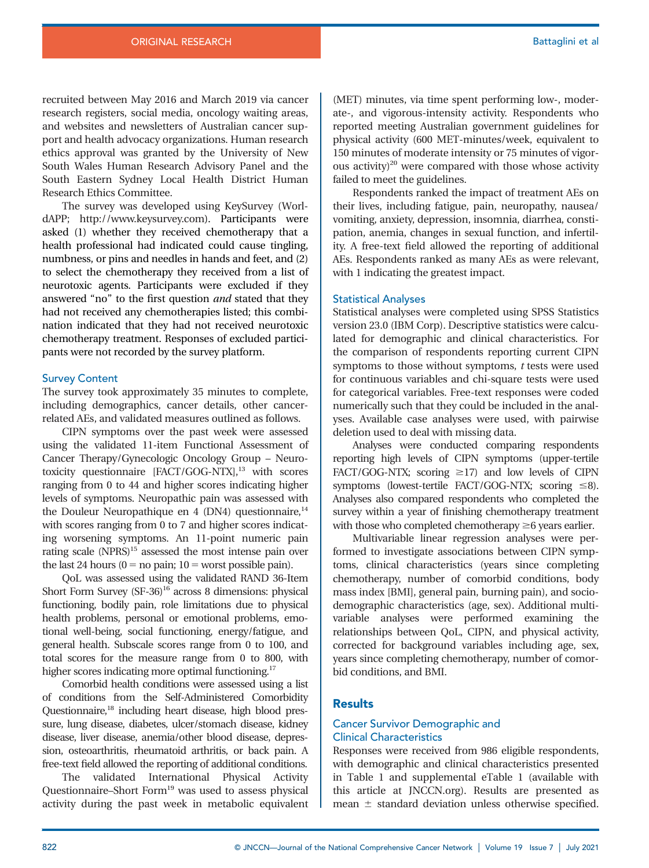recruited between May 2016 and March 2019 via cancer research registers, social media, oncology waiting areas, and websites and newsletters of Australian cancer support and health advocacy organizations. Human research ethics approval was granted by the University of New South Wales Human Research Advisory Panel and the South Eastern Sydney Local Health District Human Research Ethics Committee.

The survey was developed using KeySurvey (WorldAPP;<http://www.keysurvey.com>). Participants were asked (1) whether they received chemotherapy that a health professional had indicated could cause tingling, numbness, or pins and needles in hands and feet, and (2) to select the chemotherapy they received from a list of neurotoxic agents. Participants were excluded if they answered "no" to the first question and stated that they had not received any chemotherapies listed; this combination indicated that they had not received neurotoxic chemotherapy treatment. Responses of excluded participants were not recorded by the survey platform.

#### Survey Content

The survey took approximately 35 minutes to complete, including demographics, cancer details, other cancerrelated AEs, and validated measures outlined as follows.

CIPN symptoms over the past week were assessed using the validated 11-item Functional Assessment of Cancer Therapy/Gynecologic Oncology Group – Neurotoxicity questionnaire [FACT/GOG-NTX],<sup>13</sup> with scores ranging from 0 to 44 and higher scores indicating higher levels of symptoms. Neuropathic pain was assessed with the Douleur Neuropathique en 4 (DN4) questionnaire, $14$ with scores ranging from 0 to 7 and higher scores indicating worsening symptoms. An 11-point numeric pain rating scale (NPRS)<sup>15</sup> assessed the most intense pain over the last 24 hours ( $0 = no$  pain;  $10 =$  worst possible pain).

QoL was assessed using the validated RAND 36-Item Short Form Survey (SF-36)<sup>16</sup> across 8 dimensions: physical functioning, bodily pain, role limitations due to physical health problems, personal or emotional problems, emotional well-being, social functioning, energy/fatigue, and general health. Subscale scores range from 0 to 100, and total scores for the measure range from 0 to 800, with higher scores indicating more optimal functioning.<sup>17</sup>

Comorbid health conditions were assessed using a list of conditions from the Self-Administered Comorbidity Questionnaire,<sup>18</sup> including heart disease, high blood pressure, lung disease, diabetes, ulcer/stomach disease, kidney disease, liver disease, anemia/other blood disease, depression, osteoarthritis, rheumatoid arthritis, or back pain. A free-text field allowed the reporting of additional conditions.

The validated International Physical Activity Questionnaire–Short Form<sup>19</sup> was used to assess physical activity during the past week in metabolic equivalent (MET) minutes, via time spent performing low-, moderate-, and vigorous-intensity activity. Respondents who reported meeting Australian government guidelines for physical activity (600 MET-minutes/week, equivalent to 150 minutes of moderate intensity or 75 minutes of vigorous activity) $20$  were compared with those whose activity failed to meet the guidelines.

Respondents ranked the impact of treatment AEs on their lives, including fatigue, pain, neuropathy, nausea/ vomiting, anxiety, depression, insomnia, diarrhea, constipation, anemia, changes in sexual function, and infertility. A free-text field allowed the reporting of additional AEs. Respondents ranked as many AEs as were relevant, with 1 indicating the greatest impact.

#### Statistical Analyses

Statistical analyses were completed using SPSS Statistics version 23.0 (IBM Corp). Descriptive statistics were calculated for demographic and clinical characteristics. For the comparison of respondents reporting current CIPN symptoms to those without symptoms,  $t$  tests were used for continuous variables and chi-square tests were used for categorical variables. Free-text responses were coded numerically such that they could be included in the analyses. Available case analyses were used, with pairwise deletion used to deal with missing data.

Analyses were conducted comparing respondents reporting high levels of CIPN symptoms (upper-tertile FACT/GOG-NTX; scoring  $\geq$ 17) and low levels of CIPN symptoms (lowest-tertile FACT/GOG-NTX; scoring  $\leq 8$ ). Analyses also compared respondents who completed the survey within a year of finishing chemotherapy treatment with those who completed chemotherapy  $\geq 6$  years earlier.

Multivariable linear regression analyses were performed to investigate associations between CIPN symptoms, clinical characteristics (years since completing chemotherapy, number of comorbid conditions, body mass index [BMI], general pain, burning pain), and sociodemographic characteristics (age, sex). Additional multivariable analyses were performed examining the relationships between QoL, CIPN, and physical activity, corrected for background variables including age, sex, years since completing chemotherapy, number of comorbid conditions, and BMI.

# **Results**

## Cancer Survivor Demographic and Clinical Characteristics

Responses were received from 986 eligible respondents, with demographic and clinical characteristics presented in Table 1 and [supplemental eTable 1](supplement/jnccn20758SupplementaryData1.pdf) (available with this article at JNCCN.org). Results are presented as mean  $\pm$  standard deviation unless otherwise specified.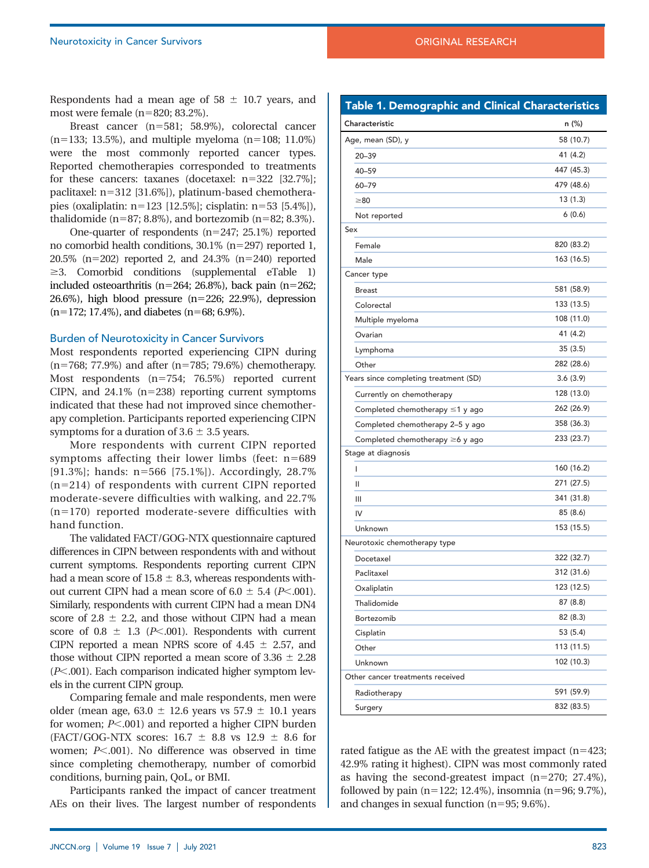Respondents had a mean age of  $58 \pm 10.7$  years, and most were female  $(n=820; 83.2\%)$ .

Breast cancer  $(n=581; 58.9\%)$ , colorectal cancer  $(n=133; 13.5\%)$ , and multiple myeloma  $(n=108; 11.0\%)$ were the most commonly reported cancer types. Reported chemotherapies corresponded to treatments for these cancers: taxanes (docetaxel:  $n=322$  [32.7%]; paclitaxel: n=312 [31.6%]), platinum-based chemotherapies (oxaliplatin: n5123 [12.5%]; cisplatin: n553 [5.4%]), thalidomide (n=87; 8.8%), and bortezomib (n=82; 8.3%).

One-quarter of respondents  $(n=247; 25.1%)$  reported no comorbid health conditions,  $30.1\%$  (n=297) reported 1,  $20.5\%$  (n=202) reported 2, and 24.3% (n=240) reported  $\geq$ 3. Comorbid conditions ([supplemental eTable 1\)](supplement/jnccn20758SupplementaryData1.pdf) included osteoarthritis (n=264; 26.8%), back pain (n=262; 26.6%), high blood pressure  $(n=226; 22.9%)$ , depression  $(n=172; 17.4\%)$ , and diabetes  $(n=68; 6.9\%).$ 

#### Burden of Neurotoxicity in Cancer Survivors

Most respondents reported experiencing CIPN during  $(n=768; 77.9%)$  and after  $(n=785; 79.6%)$  chemotherapy. Most respondents  $(n=754; 76.5%)$  reported current CIPN, and  $24.1\%$  (n=238) reporting current symptoms indicated that these had not improved since chemotherapy completion. Participants reported experiencing CIPN symptoms for a duration of  $3.6 \pm 3.5$  years.

More respondents with current CIPN reported symptoms affecting their lower limbs (feet:  $n=689$ [91.3%]; hands: n=566 [75.1%]). Accordingly, 28.7%  $(n=214)$  of respondents with current CIPN reported moderate-severe difficulties with walking, and 22.7%  $(n=170)$  reported moderate-severe difficulties with hand function.

The validated FACT/GOG-NTX questionnaire captured differences in CIPN between respondents with and without current symptoms. Respondents reporting current CIPN had a mean score of  $15.8 \pm 8.3$ , whereas respondents without current CIPN had a mean score of  $6.0 \pm 5.4$  (P<.001). Similarly, respondents with current CIPN had a mean DN4 score of 2.8  $\pm$  2.2, and those without CIPN had a mean score of  $0.8 \pm 1.3$  (P<.001). Respondents with current CIPN reported a mean NPRS score of  $4.45 \pm 2.57$ , and those without CIPN reported a mean score of  $3.36 \pm 2.28$  $(P<.001)$ . Each comparison indicated higher symptom levels in the current CIPN group.

Comparing female and male respondents, men were older (mean age,  $63.0 \pm 12.6$  years vs  $57.9 \pm 10.1$  years for women;  $P<.001$ ) and reported a higher CIPN burden (FACT/GOG-NTX scores:  $16.7 \pm 8.8$  vs  $12.9 \pm 8.6$  for women;  $P<.001$ ). No difference was observed in time since completing chemotherapy, number of comorbid conditions, burning pain, QoL, or BMI.

Participants ranked the impact of cancer treatment AEs on their lives. The largest number of respondents

| Table 1. Demographic and Clinical Characteristics |            |
|---------------------------------------------------|------------|
| Characteristic                                    | n (%)      |
| Age, mean (SD), y                                 | 58 (10.7)  |
| $20 - 39$                                         | 41 (4.2)   |
| $40 - 59$                                         | 447 (45.3) |
| 60-79                                             | 479 (48.6) |
| $\geq 80$                                         | 13(1.3)    |
| Not reported                                      | 6(0.6)     |
| Sex                                               |            |
| Female                                            | 820 (83.2) |
| Male                                              | 163 (16.5) |
| Cancer type                                       |            |
| <b>Breast</b>                                     | 581 (58.9) |
| Colorectal                                        | 133 (13.5) |
| Multiple myeloma                                  | 108 (11.0) |
| Ovarian                                           | 41 (4.2)   |
| Lymphoma                                          | 35(3.5)    |
| Other                                             | 282 (28.6) |
| Years since completing treatment (SD)             | 3.6(3.9)   |
| Currently on chemotherapy                         | 128 (13.0) |
| Completed chemotherapy $\leq 1$ y ago             | 262 (26.9) |
| Completed chemotherapy 2-5 y ago                  | 358 (36.3) |
| Completed chemotherapy ≥6 y ago                   | 233 (23.7) |
| Stage at diagnosis                                |            |
| I                                                 | 160 (16.2) |
| Ш                                                 | 271 (27.5) |
| $\mathbf{III}$                                    | 341 (31.8) |
| IV                                                | 85 (8.6)   |
| Unknown                                           | 153 (15.5) |
| Neurotoxic chemotherapy type                      |            |
| Docetaxel                                         | 322 (32.7) |
| Paclitaxel                                        | 312 (31.6) |
| Oxaliplatin                                       | 123 (12.5) |
| Thalidomide                                       | 87 (8.8)   |
| Bortezomib                                        | 82 (8.3)   |
| Cisplatin                                         | 53 (5.4)   |
| Other                                             | 113 (11.5) |
| Unknown                                           | 102 (10.3) |
| Other cancer treatments received                  |            |
| Radiotherapy                                      | 591 (59.9) |
| Surgery                                           | 832 (83.5) |

rated fatigue as the AE with the greatest impact  $(n=423;$ 42.9% rating it highest). CIPN was most commonly rated as having the second-greatest impact  $(n=270; 27.4\%),$ followed by pain (n=122; 12.4%), insomnia (n=96; 9.7%), and changes in sexual function  $(n=95; 9.6\%).$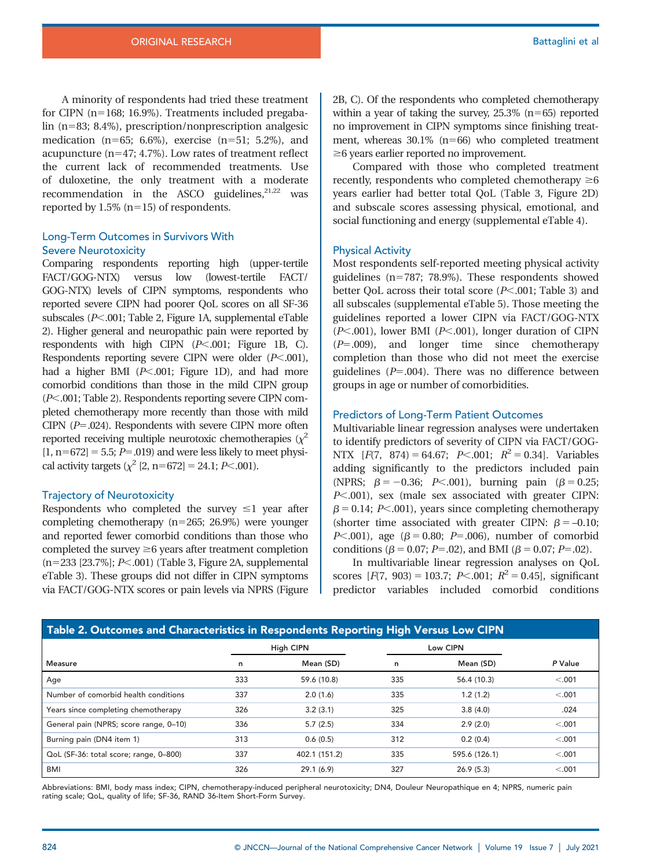A minority of respondents had tried these treatment for CIPN ( $n=168$ ; 16.9%). Treatments included pregabalin ( $n=83$ ; 8.4%), prescription/nonprescription analgesic medication ( $n=65$ ; 6.6%), exercise ( $n=51$ ; 5.2%), and acupuncture  $(n=47; 4.7\%)$ . Low rates of treatment reflect the current lack of recommended treatments. Use of duloxetine, the only treatment with a moderate recommendation in the ASCO guidelines, $21,22$  was reported by  $1.5\%$  (n=15) of respondents.

## Long-Term Outcomes in Survivors With Severe Neurotoxicity

Comparing respondents reporting high (upper-tertile FACT/GOG-NTX) versus low (lowest-tertile FACT/ GOG-NTX) levels of CIPN symptoms, respondents who reported severe CIPN had poorer QoL scores on all SF-36 subscales ( $P<.001$ ; Table 2, Figure 1A, [supplemental eTable](supplement/jnccn20758SupplementaryData1.pdf) [2\)](supplement/jnccn20758SupplementaryData1.pdf). Higher general and neuropathic pain were reported by respondents with high CIPN  $(P<.001;$  Figure 1B, C). Respondents reporting severe CIPN were older  $(P<.001)$ , had a higher BMI  $(P<.001$ ; Figure 1D), and had more comorbid conditions than those in the mild CIPN group  $(P<.001;$  Table 2). Respondents reporting severe CIPN completed chemotherapy more recently than those with mild CIPN  $(P=.024)$ . Respondents with severe CIPN more often reported receiving multiple neurotoxic chemotherapies  $(\chi^2)$  $[1, n=672] = 5.5; P=.019$  and were less likely to meet physical activity targets  $(\chi^2 [2, n=672] = 24.1; P<.001)$ .

#### Trajectory of Neurotoxicity

Respondents who completed the survey  $\leq$  year after completing chemotherapy  $(n=265; 26.9%)$  were younger and reported fewer comorbid conditions than those who completed the survey  $\geq 6$  years after treatment completion  $(n=233 [23.7\%]; P<.001)$  (Table 3, Figure 2A, [supplemental](supplement/jnccn20758SupplementaryData1.pdf) [eTable 3](supplement/jnccn20758SupplementaryData1.pdf)). These groups did not differ in CIPN symptoms via FACT/GOG-NTX scores or pain levels via NPRS (Figure 2B, C). Of the respondents who completed chemotherapy within a year of taking the survey,  $25.3\%$  (n=65) reported no improvement in CIPN symptoms since finishing treatment, whereas  $30.1\%$  (n=66) who completed treatment  $\geq$ 6 years earlier reported no improvement.

Compared with those who completed treatment recently, respondents who completed chemotherapy  $\geq 6$ years earlier had better total QoL (Table 3, Figure 2D) and subscale scores assessing physical, emotional, and social functioning and energy [\(supplemental eTable 4](supplement/jnccn20758SupplementaryData1.pdf)).

#### Physical Activity

Most respondents self-reported meeting physical activity guidelines  $(n=787; 78.9%)$ . These respondents showed better QoL across their total score  $(P<.001$ ; Table 3) and all subscales ([supplemental eTable 5](supplement/jnccn20758SupplementaryData1.pdf)). Those meeting the guidelines reported a lower CIPN via FACT/GOG-NTX  $(P<.001)$ , lower BMI ( $P<.001$ ), longer duration of CIPN  $(P=.009)$ , and longer time since chemotherapy completion than those who did not meet the exercise guidelines  $(P=.004)$ . There was no difference between groups in age or number of comorbidities.

#### Predictors of Long-Term Patient Outcomes

Multivariable linear regression analyses were undertaken to identify predictors of severity of CIPN via FACT/GOG-NTX  $[F(7, 874) = 64.67; P<.001; R^2 = 0.34]$ . Variables adding significantly to the predictors included pain (NPRS;  $\beta = -0.36$ ; P<.001), burning pain ( $\beta = 0.25$ ;  $P<.001$ ), sex (male sex associated with greater CIPN:  $\beta$  = 0.14; P<.001), years since completing chemotherapy (shorter time associated with greater CIPN:  $\beta = -0.10$ ; *P*<.001), age ( $\beta$  = 0.80; *P*=.006), number of comorbid conditions ( $\beta = 0.07$ ; P=.02), and BMI ( $\beta = 0.07$ ; P=.02).

In multivariable linear regression analyses on QoL scores  $[F(7, 903) = 103.7; P<.001; R^2 = 0.45]$ , significant predictor variables included comorbid conditions

| Table 2. Outcomes and Characteristics in Respondents Reporting High Versus Low CIPN |                  |               |          |               |         |  |  |  |
|-------------------------------------------------------------------------------------|------------------|---------------|----------|---------------|---------|--|--|--|
|                                                                                     | <b>High CIPN</b> |               | Low CIPN |               |         |  |  |  |
| <b>Measure</b>                                                                      | n                | Mean (SD)     | n        | Mean (SD)     | P Value |  |  |  |
| Age                                                                                 | 333              | 59.6 (10.8)   | 335      | 56.4 (10.3)   | < .001  |  |  |  |
| Number of comorbid health conditions                                                | 337              | 2.0(1.6)      | 335      | 1.2(1.2)      | < .001  |  |  |  |
| Years since completing chemotherapy                                                 | 326              | 3.2(3.1)      | 325      | 3.8(4.0)      | .024    |  |  |  |
| General pain (NPRS; score range, 0-10)                                              | 336              | 5.7(2.5)      | 334      | 2.9(2.0)      | < .001  |  |  |  |
| Burning pain (DN4 item 1)                                                           | 313              | 0.6(0.5)      | 312      | 0.2(0.4)      | < .001  |  |  |  |
| QoL (SF-36: total score; range, 0-800)                                              | 337              | 402.1 (151.2) | 335      | 595.6 (126.1) | < .001  |  |  |  |
| BMI                                                                                 | 326              | 29.1(6.9)     | 327      | 26.9(5.3)     | < .001  |  |  |  |

Abbreviations: BMI, body mass index; CIPN, chemotherapy-induced peripheral neurotoxicity; DN4, Douleur Neuropathique en 4; NPRS, numeric pain rating scale; QoL, quality of life; SF-36, RAND 36-Item Short-Form Survey.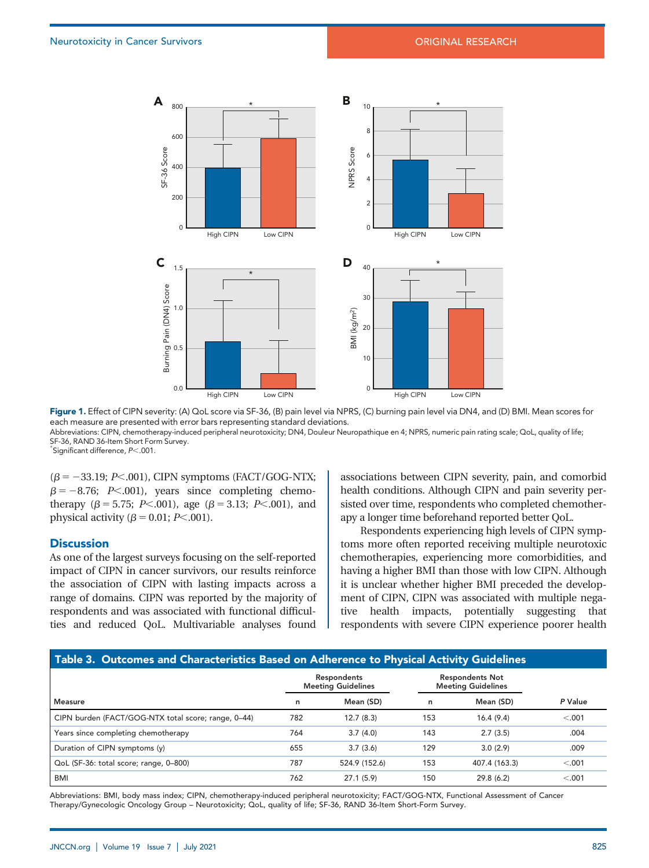

Figure 1. Effect of CIPN severity: (A) QoL score via SF-36, (B) pain level via NPRS, (C) burning pain level via DN4, and (D) BMI. Mean scores for each measure are presented with error bars representing standard deviations. Abbreviations: CIPN, chemotherapy-induced peripheral neurotoxicity; DN4, Douleur Neuropathique en 4; NPRS, numeric pain rating scale; QoL, quality of life; SF-36, RAND 36-Item Short Form Survey.

 $*$ Significant difference,  $P<.001$ .

 $(\beta = -33.19; P<.001)$ , CIPN symptoms (FACT/GOG-NTX;  $\beta = -8.76$ ; P<.001), years since completing chemotherapy ( $\beta$  = 5.75; P<.001), age ( $\beta$  = 3.13; P<.001), and physical activity ( $\beta$  = 0.01; P<.001).

#### **Discussion**

As one of the largest surveys focusing on the self-reported impact of CIPN in cancer survivors, our results reinforce the association of CIPN with lasting impacts across a range of domains. CIPN was reported by the majority of respondents and was associated with functional difficulties and reduced QoL. Multivariable analyses found associations between CIPN severity, pain, and comorbid health conditions. Although CIPN and pain severity persisted over time, respondents who completed chemotherapy a longer time beforehand reported better QoL.

Respondents experiencing high levels of CIPN symptoms more often reported receiving multiple neurotoxic chemotherapies, experiencing more comorbidities, and having a higher BMI than those with low CIPN. Although it is unclear whether higher BMI preceded the development of CIPN, CIPN was associated with multiple negative health impacts, potentially suggesting that respondents with severe CIPN experience poorer health

#### Table 3. Outcomes and Characteristics Based on Adherence to Physical Activity Guidelines

|                                                     | Respondents<br><b>Meeting Guidelines</b> |               | <b>Respondents Not</b><br><b>Meeting Guidelines</b> |               |         |
|-----------------------------------------------------|------------------------------------------|---------------|-----------------------------------------------------|---------------|---------|
| <b>Measure</b>                                      | n                                        | Mean (SD)     | n                                                   | Mean (SD)     | P Value |
| CIPN burden (FACT/GOG-NTX total score; range, 0-44) | 782                                      | 12.7(8.3)     | 153                                                 | 16.4(9.4)     | < .001  |
| Years since completing chemotherapy                 | 764                                      | 3.7(4.0)      | 143                                                 | 2.7(3.5)      | .004    |
| Duration of CIPN symptoms (y)                       | 655                                      | 3.7(3.6)      | 129                                                 | 3.0(2.9)      | .009    |
| QoL (SF-36: total score; range, 0-800)              | 787                                      | 524.9 (152.6) | 153                                                 | 407.4 (163.3) | < .001  |
| <b>BMI</b>                                          | 762                                      | 27.1(5.9)     | 150                                                 | 29.8(6.2)     | < .001  |

Abbreviations: BMI, body mass index; CIPN, chemotherapy-induced peripheral neurotoxicity; FACT/GOG-NTX, Functional Assessment of Cancer Therapy/Gynecologic Oncology Group – Neurotoxicity; QoL, quality of life; SF-36, RAND 36-Item Short-Form Survey.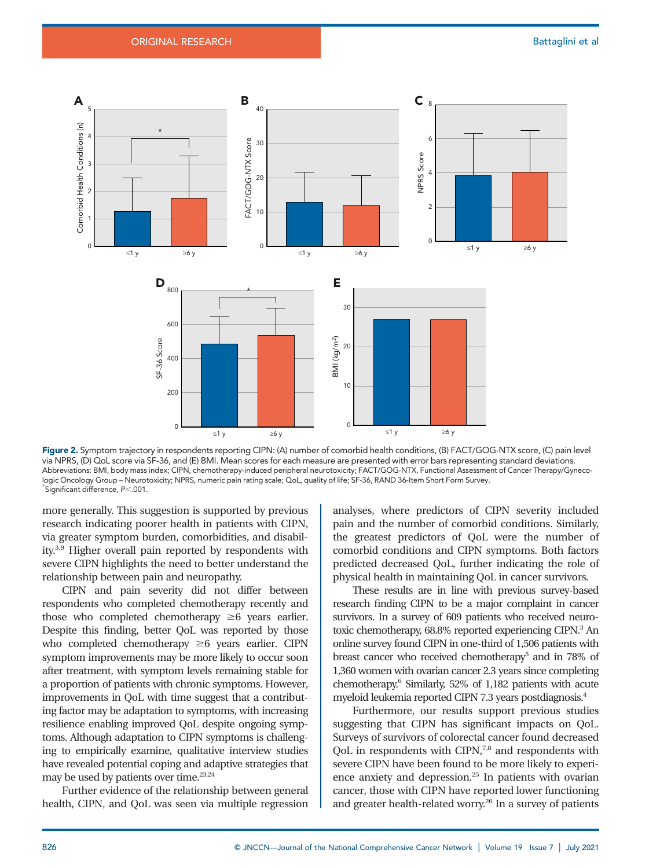

Figure 2. Symptom trajectory in respondents reporting CIPN: (A) number of comorbid health conditions, (B) FACT/GOG-NTX score, (C) pain level via NPRS, (D) QoL score via SF-36, and (E) BMI. Mean scores for each measure are presented with error bars representing standard deviations. Abbreviations: BMI, body mass index; CIPN, chemotherapy-induced peripheral neurotoxicity; FACT/GOG-NTX, Functional Assessment of Cancer Therapy/Gynecologic Oncology Group – Neurotoxicity; NPRS, numeric pain rating scale; QoL, quality of life; SF-36, RAND 36-Item Short Form Survey.  $^*$ Significant difference,  $P<.001$ .

more generally. This suggestion is supported by previous research indicating poorer health in patients with CIPN, via greater symptom burden, comorbidities, and disability.3,9 Higher overall pain reported by respondents with severe CIPN highlights the need to better understand the relationship between pain and neuropathy.

CIPN and pain severity did not differ between respondents who completed chemotherapy recently and those who completed chemotherapy  $\geq 6$  years earlier. Despite this finding, better QoL was reported by those who completed chemotherapy  $\geq 6$  years earlier. CIPN symptom improvements may be more likely to occur soon after treatment, with symptom levels remaining stable for a proportion of patients with chronic symptoms. However, improvements in QoL with time suggest that a contributing factor may be adaptation to symptoms, with increasing resilience enabling improved QoL despite ongoing symptoms. Although adaptation to CIPN symptoms is challenging to empirically examine, qualitative interview studies have revealed potential coping and adaptive strategies that may be used by patients over time.<sup>23,24</sup>

Further evidence of the relationship between general health, CIPN, and QoL was seen via multiple regression analyses, where predictors of CIPN severity included pain and the number of comorbid conditions. Similarly, the greatest predictors of QoL were the number of comorbid conditions and CIPN symptoms. Both factors predicted decreased QoL, further indicating the role of physical health in maintaining QoL in cancer survivors.

These results are in line with previous survey-based research finding CIPN to be a major complaint in cancer survivors. In a survey of 609 patients who received neurotoxic chemotherapy, 68.8% reported experiencing CIPN.<sup>3</sup> An online survey found CIPN in one-third of 1,506 patients with breast cancer who received chemotherapy<sup>5</sup> and in 78% of 1,360 women with ovarian cancer 2.3 years since completing chemotherapy.6 Similarly, 52% of 1,182 patients with acute myeloid leukemia reported CIPN 7.3 years postdiagnosis.4

Furthermore, our results support previous studies suggesting that CIPN has significant impacts on QoL. Surveys of survivors of colorectal cancer found decreased QoL in respondents with CIPN,<sup>7,8</sup> and respondents with severe CIPN have been found to be more likely to experience anxiety and depression.<sup>25</sup> In patients with ovarian cancer, those with CIPN have reported lower functioning and greater health-related worry.<sup>26</sup> In a survey of patients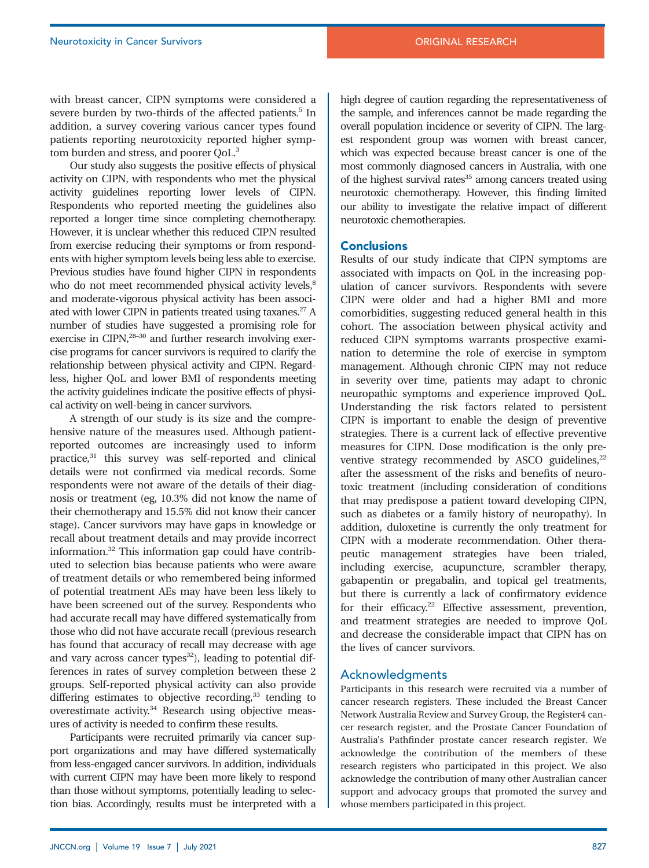with breast cancer, CIPN symptoms were considered a severe burden by two-thirds of the affected patients.<sup>5</sup> In addition, a survey covering various cancer types found patients reporting neurotoxicity reported higher symptom burden and stress, and poorer QoL.3

Our study also suggests the positive effects of physical activity on CIPN, with respondents who met the physical activity guidelines reporting lower levels of CIPN. Respondents who reported meeting the guidelines also reported a longer time since completing chemotherapy. However, it is unclear whether this reduced CIPN resulted from exercise reducing their symptoms or from respondents with higher symptom levels being less able to exercise. Previous studies have found higher CIPN in respondents who do not meet recommended physical activity levels,<sup>8</sup> and moderate-vigorous physical activity has been associated with lower CIPN in patients treated using taxanes.27 A number of studies have suggested a promising role for exercise in CIPN,<sup>28-30</sup> and further research involving exercise programs for cancer survivors is required to clarify the relationship between physical activity and CIPN. Regardless, higher QoL and lower BMI of respondents meeting the activity guidelines indicate the positive effects of physical activity on well-being in cancer survivors.

A strength of our study is its size and the comprehensive nature of the measures used. Although patientreported outcomes are increasingly used to inform practice,<sup>31</sup> this survey was self-reported and clinical details were not confirmed via medical records. Some respondents were not aware of the details of their diagnosis or treatment (eg, 10.3% did not know the name of their chemotherapy and 15.5% did not know their cancer stage). Cancer survivors may have gaps in knowledge or recall about treatment details and may provide incorrect information.32 This information gap could have contributed to selection bias because patients who were aware of treatment details or who remembered being informed of potential treatment AEs may have been less likely to have been screened out of the survey. Respondents who had accurate recall may have differed systematically from those who did not have accurate recall (previous research has found that accuracy of recall may decrease with age and vary across cancer types $32$ ), leading to potential differences in rates of survey completion between these 2 groups. Self-reported physical activity can also provide differing estimates to objective recording, $33$  tending to overestimate activity.<sup>34</sup> Research using objective measures of activity is needed to confirm these results.

Participants were recruited primarily via cancer support organizations and may have differed systematically from less-engaged cancer survivors. In addition, individuals with current CIPN may have been more likely to respond than those without symptoms, potentially leading to selection bias. Accordingly, results must be interpreted with a high degree of caution regarding the representativeness of the sample, and inferences cannot be made regarding the overall population incidence or severity of CIPN. The largest respondent group was women with breast cancer, which was expected because breast cancer is one of the most commonly diagnosed cancers in Australia, with one of the highest survival rates<sup>35</sup> among cancers treated using neurotoxic chemotherapy. However, this finding limited our ability to investigate the relative impact of different neurotoxic chemotherapies.

#### **Conclusions**

Results of our study indicate that CIPN symptoms are associated with impacts on QoL in the increasing population of cancer survivors. Respondents with severe CIPN were older and had a higher BMI and more comorbidities, suggesting reduced general health in this cohort. The association between physical activity and reduced CIPN symptoms warrants prospective examination to determine the role of exercise in symptom management. Although chronic CIPN may not reduce in severity over time, patients may adapt to chronic neuropathic symptoms and experience improved QoL. Understanding the risk factors related to persistent CIPN is important to enable the design of preventive strategies. There is a current lack of effective preventive measures for CIPN. Dose modification is the only preventive strategy recommended by ASCO guidelines, $22$ after the assessment of the risks and benefits of neurotoxic treatment (including consideration of conditions that may predispose a patient toward developing CIPN, such as diabetes or a family history of neuropathy). In addition, duloxetine is currently the only treatment for CIPN with a moderate recommendation. Other therapeutic management strategies have been trialed, including exercise, acupuncture, scrambler therapy, gabapentin or pregabalin, and topical gel treatments, but there is currently a lack of confirmatory evidence for their efficacy.<sup>22</sup> Effective assessment, prevention, and treatment strategies are needed to improve QoL and decrease the considerable impact that CIPN has on the lives of cancer survivors.

#### Acknowledgments

Participants in this research were recruited via a number of cancer research registers. These included the Breast Cancer Network Australia Review and Survey Group, the Register4 cancer research register, and the Prostate Cancer Foundation of Australia's Pathfinder prostate cancer research register. We acknowledge the contribution of the members of these research registers who participated in this project. We also acknowledge the contribution of many other Australian cancer support and advocacy groups that promoted the survey and whose members participated in this project.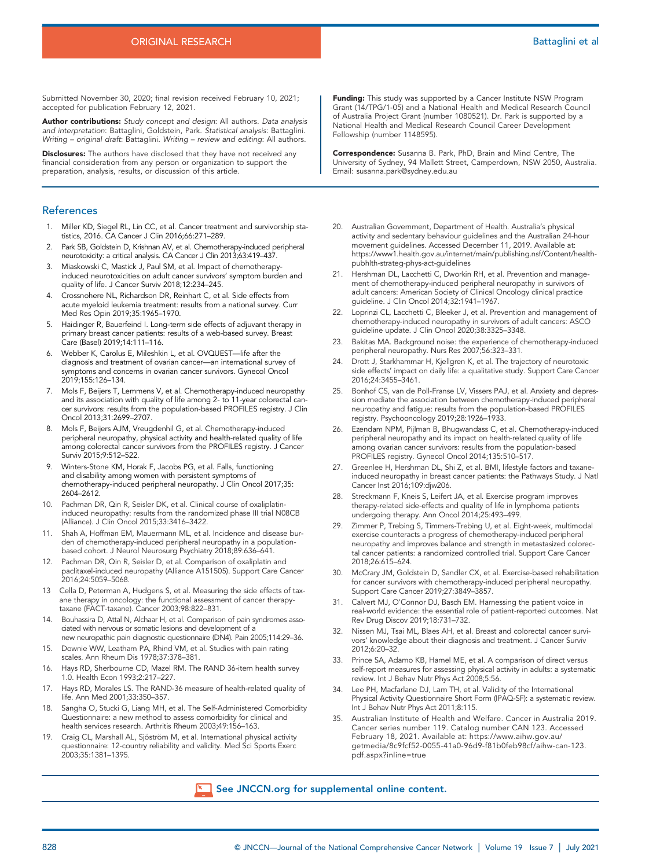Submitted November 30, 2020; final revision received February 10, 2021; accepted for publication February 12, 2021.

**Author contributions:** Study concept and design: All authors. Data analysis<br>and interpretation: Battaglini, Goldstein, Park. Statistical analysis: Battaglini. Writing – original draft: Battaglini. Writing – review and editing: All authors.

Disclosures: The authors have disclosed that they have not received any financial consideration from any person or organization to support the preparation, analysis, results, or discussion of this article.

#### References

- 1. Miller KD, Siegel RL, Lin CC, et al. Cancer treatment and survivorship statistics, 2016. CA Cancer J Clin 2016;66:271–289.
- 2. Park SB, Goldstein D, Krishnan AV, et al. Chemotherapy-induced peripheral neurotoxicity: a critical analysis. CA Cancer J Clin 2013;63:419–437.
- 3. Miaskowski C, Mastick J, Paul SM, et al. Impact of chemotherapyinduced neurotoxicities on adult cancer survivors' symptom burden and quality of life. J Cancer Surviv 2018;12:234–245.
- 4. Crossnohere NL, Richardson DR, Reinhart C, et al. Side effects from acute myeloid leukemia treatment: results from a national survey. Curr Med Res Opin 2019;35:1965–1970.
- 5. Haidinger R, Bauerfeind I. Long-term side effects of adjuvant therapy in primary breast cancer patients: results of a web-based survey. Breast Care (Basel) 2019;14:111–116.
- Webber K, Carolus E, Mileshkin L, et al. OVQUEST-life after the diagnosis and treatment of ovarian cancer—an international survey of symptoms and concerns in ovarian cancer survivors. Gynecol Oncol 2019;155:126–134.
- 7. Mols F, Beijers T, Lemmens V, et al. Chemotherapy-induced neuropathy and its association with quality of life among 2- to 11-year colorectal cancer survivors: results from the population-based PROFILES registry. J Clin Oncol 2013;31:2699–2707.
- 8. Mols F, Beijers AJM, Vreugdenhil G, et al. Chemotherapy-induced peripheral neuropathy, physical activity and health-related quality of life among colorectal cancer survivors from the PROFILES registry. J Cancer Surviv 2015;9:512–522.
- 9. Winters-Stone KM, Horak F, Jacobs PG, et al. Falls, functioning and disability among women with persistent symptoms of chemotherapy-induced peripheral neuropathy. J Clin Oncol 2017;35: 2604–2612.
- 10. Pachman DR, Qin R, Seisler DK, et al. Clinical course of oxaliplatininduced neuropathy: results from the randomized phase III trial N08CB (Alliance). J Clin Oncol 2015;33:3416–3422.
- 11. Shah A, Hoffman EM, Mauermann ML, et al. Incidence and disease burden of chemotherapy-induced peripheral neuropathy in a populationbased cohort. J Neurol Neurosurg Psychiatry 2018;89:636–641.
- 12. Pachman DR, Qin R, Seisler D, et al. Comparison of oxaliplatin and paclitaxel-induced neuropathy (Alliance A151505). Support Care Cancer 2016;24:5059–5068.
- 13 Cella D, Peterman A, Hudgens S, et al. Measuring the side effects of taxane therapy in oncology: the functional assessment of cancer therapytaxane (FACT-taxane). Cancer 2003;98:822–831.
- 14. Bouhassira D, Attal N, Alchaar H, et al. Comparison of pain syndromes associated with nervous or somatic lesions and development of a new neuropathic pain diagnostic questionnaire (DN4). Pain 2005;114:29–36.
- 15. Downie WW, Leatham PA, Rhind VM, et al. Studies with pain rating scales. Ann Rheum Dis 1978;37:378–381.
- 16. Hays RD, Sherbourne CD, Mazel RM. The RAND 36-item health survey 1.0. Health Econ 1993;2:217–227.
- 17. Hays RD, Morales LS. The RAND-36 measure of health-related quality of life. Ann Med 2001;33:350–357.
- 18. Sangha O, Stucki G, Liang MH, et al. The Self-Administered Comorbidity Questionnaire: a new method to assess comorbidity for clinical and health services research. Arthritis Rheum 2003;49:156–163.
- Craig CL, Marshall AL, Sjöström M, et al. International physical activity questionnaire: 12-country reliability and validity. Med Sci Sports Exerc 2003;35:1381–1395.

Funding: This study was supported by a Cancer Institute NSW Program Grant (14/TPG/1-05) and a National Health and Medical Research Council of Australia Project Grant (number 1080521). Dr. Park is supported by a National Health and Medical Research Council Career Development Fellowship (number 1148595).

Correspondence: Susanna B. Park, PhD, Brain and Mind Centre, The University of Sydney, 94 Mallett Street, Camperdown, NSW 2050, Australia. Email: susanna.park@sydney.edu.au

- 20. Australian Government, Department of Health. Australia's physical activity and sedentary behaviour guidelines and the Australian 24-hour movement guidelines. Accessed December 11, 2019. Available at: [https://www1.health.gov.au/internet/main/publishing.nsf/Content/health](https://www1.health.gov.au/internet/main/publishing.nsf/Content/health-pubhlth-strateg-phys-act-guidelines)[pubhlth-strateg-phys-act-guidelines](https://www1.health.gov.au/internet/main/publishing.nsf/Content/health-pubhlth-strateg-phys-act-guidelines)
- 21. Hershman DL, Lacchetti C, Dworkin RH, et al. Prevention and management of chemotherapy-induced peripheral neuropathy in survivors of adult cancers: American Society of Clinical Oncology clinical practice guideline. J Clin Oncol 2014;32:1941–1967.
- 22. Loprinzi CL, Lacchetti C, Bleeker J, et al. Prevention and management of chemotherapy-induced neuropathy in survivors of adult cancers: ASCO guideline update. J Clin Oncol 2020;38:3325–3348.
- 23. Bakitas MA. Background noise: the experience of chemotherapy-induced peripheral neuropathy. Nurs Res 2007;56:323–331.
- 24. Drott J, Starkhammar H, Kjellgren K, et al. The trajectory of neurotoxic side effects' impact on daily life: a qualitative study. Support Care Cancer 2016;24:3455–3461.
- 25. Bonhof CS, van de Poll-Franse LV, Vissers PAJ, et al. Anxiety and depression mediate the association between chemotherapy-induced peripheral neuropathy and fatigue: results from the population-based PROFILES registry. Psychooncology 2019;28:1926–1933.
- 26. Ezendam NPM, Pijlman B, Bhugwandass C, et al. Chemotherapy-induced peripheral neuropathy and its impact on health-related quality of life among ovarian cancer survivors: results from the population-based PROFILES registry. Gynecol Oncol 2014;135:510–517.
- 27. Greenlee H, Hershman DL, Shi Z, et al. BMI, lifestyle factors and taxaneinduced neuropathy in breast cancer patients: the Pathways Study. J Natl Cancer Inst 2016;109:djw206.
- 28. Streckmann F, Kneis S, Leifert JA, et al. Exercise program improves therapy-related side-effects and quality of life in lymphoma patients undergoing therapy. Ann Oncol 2014;25:493–499.
- 29. Zimmer P, Trebing S, Timmers-Trebing U, et al. Eight-week, multimodal exercise counteracts a progress of chemotherapy-induced peripheral neuropathy and improves balance and strength in metastasized colorectal cancer patients: a randomized controlled trial. Support Care Cancer 2018;26:615–624.
- 30. McCrary JM, Goldstein D, Sandler CX, et al. Exercise-based rehabilitation for cancer survivors with chemotherapy-induced peripheral neuropathy. Support Care Cancer 2019;27:3849–3857.
- 31. Calvert MJ, O'Connor DJ, Basch EM. Harnessing the patient voice in real-world evidence: the essential role of patient-reported outcomes. Nat Rev Drug Discov 2019;18:731–732.
- 32. Nissen MJ, Tsai ML, Blaes AH, et al. Breast and colorectal cancer survivors' knowledge about their diagnosis and treatment. J Cancer Surviv 2012;6:20–32.
- 33. Prince SA, Adamo KB, Hamel ME, et al. A comparison of direct versus self-report measures for assessing physical activity in adults: a systematic review. Int J Behav Nutr Phys Act 2008;5:56.
- 34. Lee PH, Macfarlane DJ, Lam TH, et al. Validity of the International Physical Activity Questionnaire Short Form (IPAQ-SF): a systematic review. Int J Behav Nutr Phys Act 2011;8:115.
- 35. Australian Institute of Health and Welfare. Cancer in Australia 2019. Cancer series number 119. Catalog number CAN 123. Accessed February 18, 2021. Available at: [https://www.aihw.gov.au/](https://www.aihw.gov.au/getmedia/8c9fcf52-0055-41a0-96d9-f81b0feb98cf/aihw-can-123.pdf.aspx?inline&hx003D;true) [getmedia/8c9fcf52-0055-41a0-96d9-f81b0feb98cf/aihw-can-123.](https://www.aihw.gov.au/getmedia/8c9fcf52-0055-41a0-96d9-f81b0feb98cf/aihw-can-123.pdf.aspx?inline&hx003D;true) [pdf.aspx?inline=true](https://www.aihw.gov.au/getmedia/8c9fcf52-0055-41a0-96d9-f81b0feb98cf/aihw-can-123.pdf.aspx?inline&hx003D;true)

#### See [JNCCN.org](https://jnccn.org/supplemental/journals/jnccn/19/7/article-p821.xml/jnccn20758SupplementaryData1.pdf) for supplemental online content.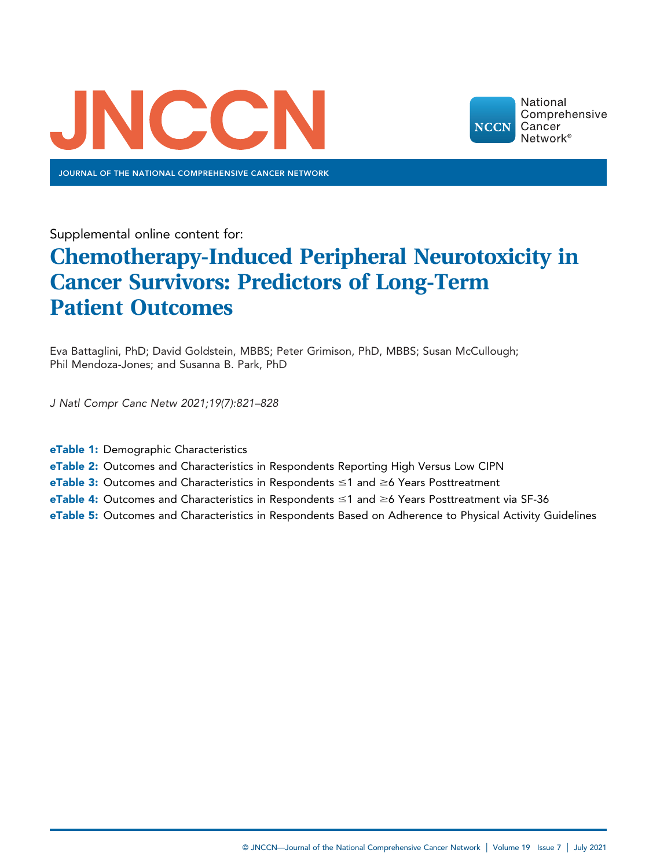

JOURNAL OF THE NATIONAL COMPREHENSIVE CANCER NETWORK



Supplemental online content for:

# Chemotherapy-Induced Peripheral Neurotoxicity in Cancer Survivors: Predictors of Long-Term Patient Outcomes

Eva Battaglini, PhD; David Goldstein, MBBS; Peter Grimison, PhD, MBBS; Susan McCullough; Phil Mendoza-Jones; and Susanna B. Park, PhD

J Natl Compr Canc Netw 2021;19(7):821–828

- eTable 1: Demographic Characteristics
- eTable 2: Outcomes and Characteristics in Respondents Reporting High Versus Low CIPN
- eTable 3: Outcomes and Characteristics in Respondents  $\leq 1$  and  $\geq 6$  Years Posttreatment
- eTable 4: Outcomes and Characteristics in Respondents  $\leq 1$  and  $\geq 6$  Years Posttreatment via SF-36
- eTable 5: Outcomes and Characteristics in Respondents Based on Adherence to Physical Activity Guidelines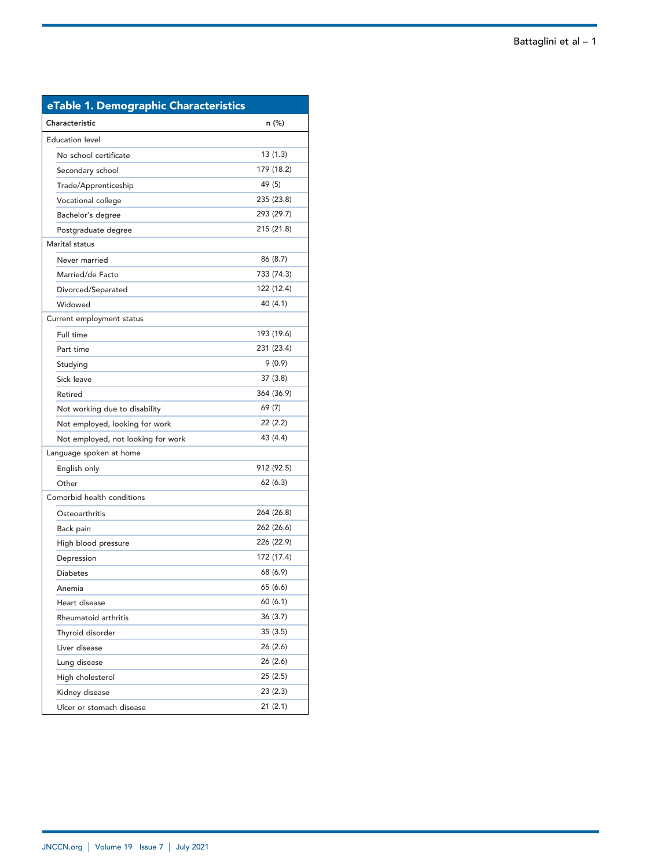| eTable 1. Demographic Characteristics |            |  |  |  |
|---------------------------------------|------------|--|--|--|
| Characteristic                        | n (%)      |  |  |  |
| <b>Education level</b>                |            |  |  |  |
| No school certificate                 | 13(1.3)    |  |  |  |
| Secondary school                      | 179 (18.2) |  |  |  |
| Trade/Apprenticeship                  | 49 (5)     |  |  |  |
| Vocational college                    | 235 (23.8) |  |  |  |
| Bachelor's degree                     | 293 (29.7) |  |  |  |
| Postgraduate degree                   | 215 (21.8) |  |  |  |
| Marital status                        |            |  |  |  |
| Never married                         | 86 (8.7)   |  |  |  |
| Married/de Facto                      | 733 (74.3) |  |  |  |
| Divorced/Separated                    | 122 (12.4) |  |  |  |
| Widowed                               | 40 (4.1)   |  |  |  |
| Current employment status             |            |  |  |  |
| Full time                             | 193 (19.6) |  |  |  |
| Part time                             | 231 (23.4) |  |  |  |
| Studying                              | 9(0.9)     |  |  |  |
| Sick leave                            | 37(3.8)    |  |  |  |
| Retired                               | 364 (36.9) |  |  |  |
| Not working due to disability         | 69 (7)     |  |  |  |
| Not employed, looking for work        | 22 (2.2)   |  |  |  |
| Not employed, not looking for work    | 43 (4.4)   |  |  |  |
| Language spoken at home               |            |  |  |  |
| English only                          | 912 (92.5) |  |  |  |
| Other                                 | 62(6.3)    |  |  |  |
| Comorbid health conditions            |            |  |  |  |
| Osteoarthritis                        | 264 (26.8) |  |  |  |
| Back pain                             | 262 (26.6) |  |  |  |
| High blood pressure                   | 226 (22.9) |  |  |  |
| Depression                            | 172 (17.4) |  |  |  |
| <b>Diabetes</b>                       | 68 (6.9)   |  |  |  |
| Anemia                                | 65 (6.6)   |  |  |  |
| Heart disease                         | 60(6.1)    |  |  |  |
| Rheumatoid arthritis                  | 36(3.7)    |  |  |  |
| Thyroid disorder                      | 35 (3.5)   |  |  |  |
| Liver disease                         | 26 (2.6)   |  |  |  |
| Lung disease                          | 26 (2.6)   |  |  |  |
| High cholesterol                      | 25(2.5)    |  |  |  |
| Kidney disease                        | 23(2.3)    |  |  |  |
| Ulcer or stomach disease              | 21(2.1)    |  |  |  |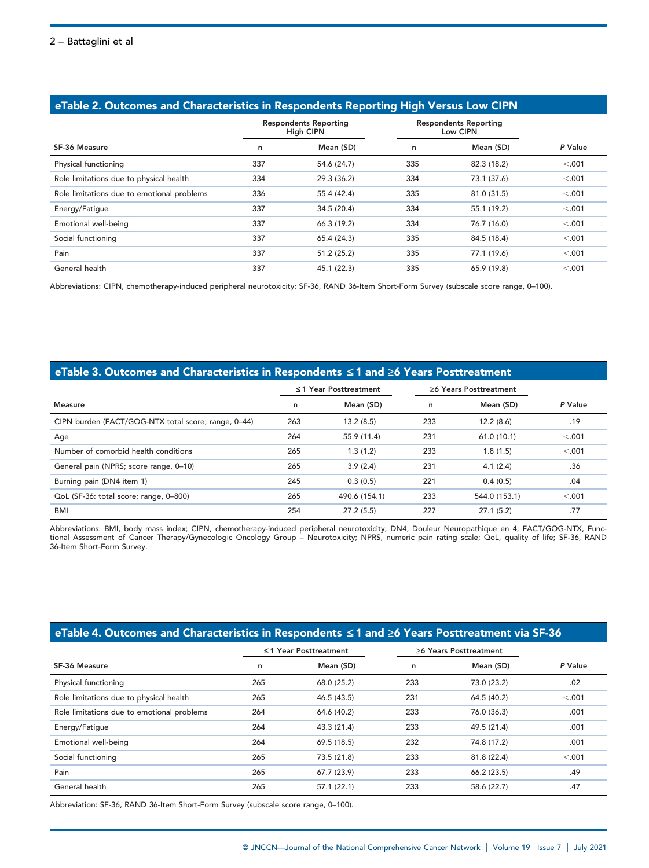| eTable 2. Outcomes and Characteristics in Respondents Reporting High Versus Low CIPN |                                                  |             |                                          |             |         |  |  |
|--------------------------------------------------------------------------------------|--------------------------------------------------|-------------|------------------------------------------|-------------|---------|--|--|
|                                                                                      | <b>Respondents Reporting</b><br><b>High CIPN</b> |             | <b>Respondents Reporting</b><br>Low CIPN |             |         |  |  |
| SF-36 Measure                                                                        | n                                                | Mean (SD)   | n                                        | Mean (SD)   | P Value |  |  |
| Physical functioning                                                                 | 337                                              | 54.6 (24.7) | 335                                      | 82.3 (18.2) | < .001  |  |  |
| Role limitations due to physical health                                              | 334                                              | 29.3 (36.2) | 334                                      | 73.1 (37.6) | < .001  |  |  |
| Role limitations due to emotional problems                                           | 336                                              | 55.4 (42.4) | 335                                      | 81.0 (31.5) | < .001  |  |  |
| Energy/Fatigue                                                                       | 337                                              | 34.5 (20.4) | 334                                      | 55.1 (19.2) | < .001  |  |  |
| Emotional well-being                                                                 | 337                                              | 66.3 (19.2) | 334                                      | 76.7 (16.0) | < .001  |  |  |
| Social functioning                                                                   | 337                                              | 65.4 (24.3) | 335                                      | 84.5 (18.4) | < .001  |  |  |
| Pain                                                                                 | 337                                              | 51.2 (25.2) | 335                                      | 77.1 (19.6) | < .001  |  |  |
| General health                                                                       | 337                                              | 45.1 (22.3) | 335                                      | 65.9 (19.8) | < .001  |  |  |

Abbreviations: CIPN, chemotherapy-induced peripheral neurotoxicity; SF-36, RAND 36-Item Short-Form Survey (subscale score range, 0–100).

# eTable 3. Outcomes and Characteristics in Respondents £ 1 and ≥6 Years Posttreatment

|                                                     | ≤1 Year Posttreatment |               | >6 Years Posttreatment |               |         |
|-----------------------------------------------------|-----------------------|---------------|------------------------|---------------|---------|
| Measure                                             | n                     | Mean (SD)     | n                      | Mean (SD)     | P Value |
| CIPN burden (FACT/GOG-NTX total score; range, 0-44) | 263                   | 13.2(8.5)     | 233                    | 12.2(8.6)     | .19     |
| Age                                                 | 264                   | 55.9 (11.4)   | 231                    | 61.0(10.1)    | < .001  |
| Number of comorbid health conditions                | 265                   | 1.3(1.2)      | 233                    | 1.8(1.5)      | < .001  |
| General pain (NPRS; score range, 0-10)              | 265                   | 3.9(2.4)      | 231                    | 4.1(2.4)      | .36     |
| Burning pain (DN4 item 1)                           | 245                   | 0.3(0.5)      | 221                    | 0.4(0.5)      | .04     |
| QoL (SF-36: total score; range, 0-800)              | 265                   | 490.6 (154.1) | 233                    | 544.0 (153.1) | < .001  |
| BMI                                                 | 254                   | 27.2(5.5)     | 227                    | 27.1(5.2)     | .77     |

Abbreviations: BMI, body mass index; CIPN, chemotherapy-induced peripheral neurotoxicity; DN4, Douleur Neuropathique en 4; FACT/GOG-NTX, Functional Assessment of Cancer Therapy/Gynecologic Oncology Group – Neurotoxicity; NPRS, numeric pain rating scale; QoL, quality of life; SF-36, RAND 36-Item Short-Form Survey.

| $e$ eTable 4. Outcomes and Characteristics in Respondents ≤1 and ≥6 Years Posttreatment via SF-36 |                       |             |                        |             |         |  |  |
|---------------------------------------------------------------------------------------------------|-----------------------|-------------|------------------------|-------------|---------|--|--|
|                                                                                                   | ≤1 Year Posttreatment |             | >6 Years Posttreatment |             |         |  |  |
| SF-36 Measure                                                                                     | n                     | Mean (SD)   | n                      | Mean (SD)   | P Value |  |  |
| Physical functioning                                                                              | 265                   | 68.0 (25.2) | 233                    | 73.0 (23.2) | .02     |  |  |
| Role limitations due to physical health                                                           | 265                   | 46.5 (43.5) | 231                    | 64.5 (40.2) | < .001  |  |  |
| Role limitations due to emotional problems                                                        | 264                   | 64.6 (40.2) | 233                    | 76.0 (36.3) | .001    |  |  |
| Energy/Fatigue                                                                                    | 264                   | 43.3 (21.4) | 233                    | 49.5 (21.4) | .001    |  |  |
| Emotional well-being                                                                              | 264                   | 69.5 (18.5) | 232                    | 74.8 (17.2) | .001    |  |  |
| Social functioning                                                                                | 265                   | 73.5 (21.8) | 233                    | 81.8 (22.4) | < .001  |  |  |
| Pain                                                                                              | 265                   | 67.7 (23.9) | 233                    | 66.2 (23.5) | .49     |  |  |
| General health                                                                                    | 265                   | 57.1(22.1)  | 233                    | 58.6 (22.7) | .47     |  |  |

Abbreviation: SF-36, RAND 36-Item Short-Form Survey (subscale score range, 0–100).